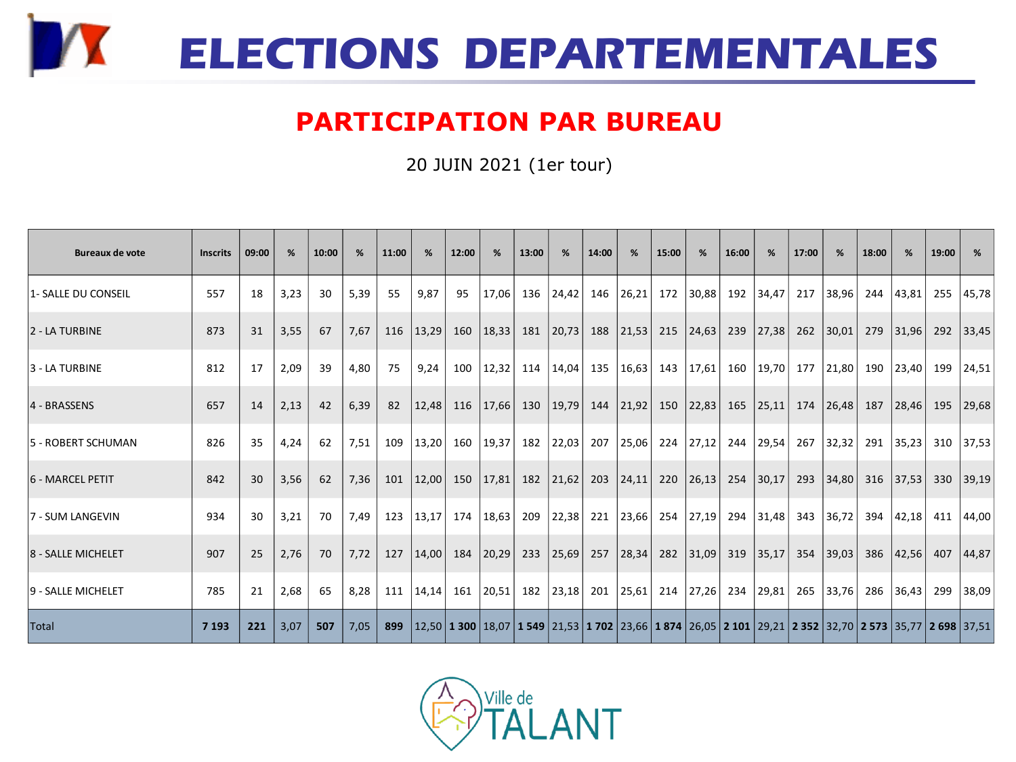

## **PARTICIPATION PAR BUREAU**

20 JUIN 2021 (1er tour)

| <b>Bureaux de vote</b> | <b>Inscrits</b> | 09:00 | %    | 10:00 | %    | 11:00 | %     | 12:00 | %           | 13:00 | %     | 14:00 | %          | 15:00 | %         | 16:00 | %                                                                                                                             | 17:00 | %     | 18:00 | %     | 19:00 | %         |
|------------------------|-----------------|-------|------|-------|------|-------|-------|-------|-------------|-------|-------|-------|------------|-------|-----------|-------|-------------------------------------------------------------------------------------------------------------------------------|-------|-------|-------|-------|-------|-----------|
| 1- SALLE DU CONSEIL    | 557             | 18    | 3,23 | 30    | 5,39 | 55    | 9,87  | 95    | 17,06       | 136   | 24,42 | 146   | 26,21      | 172   | 30,88     | 192   | 34,47                                                                                                                         | 217   | 38,96 | 244   | 43,81 | 255   | 45,78     |
| 2 - LA TURBINE         | 873             | 31    | 3,55 | 67    | 7,67 | 116   | 13,29 | 160   | 18,33       | 181   | 20,73 | 188   | 21,53      | 215   | 24,63     | 239   | 27,38                                                                                                                         | 262   | 30,01 | 279   | 31,96 |       | 292 33,45 |
| 3 - LA TURBINE         | 812             | 17    | 2,09 | 39    | 4,80 | 75    | 9,24  | 100   | 12,32       | 114   | 14,04 |       | 135  16,63 | 143   | 17,61     | 160   | 19,70                                                                                                                         | 177   | 21,80 | 190   | 23,40 | 199   | 24,51     |
| 4 - BRASSENS           | 657             | 14    | 2,13 | 42    | 6,39 | 82    | 12,48 | 116   | 17,66       | 130   | 19,79 | 144   | 21,92      | 150   | 22,83     | 165   | 25,11                                                                                                                         | 174   | 26,48 | 187   | 28,46 | 195   | 29,68     |
| 5 - ROBERT SCHUMAN     | 826             | 35    | 4,24 | 62    | 7,51 | 109   | 13,20 |       | 160 19,37   | 182   | 22,03 | 207   | 25,06      | 224   | 27,12     | 244   | 29,54                                                                                                                         | 267   | 32,32 | 291   | 35,23 |       | 310 37,53 |
| 6 - MARCEL PETIT       | 842             | 30    | 3,56 | 62    | 7,36 | 101   | 12,00 |       | 150   17,81 | 182   | 21,62 | 203   | 24,11      | 220   | 26,13     | 254   | 30,17                                                                                                                         | 293   | 34,80 | 316   | 37,53 | 330   | 39,19     |
| 7 - SUM LANGEVIN       | 934             | 30    | 3,21 | 70    | 7,49 | 123   | 13,17 | 174   | 18,63       | 209   | 22,38 | 221   | 23,66      |       | 254 27,19 |       | 294 31,48                                                                                                                     | 343   | 36,72 | 394   | 42,18 |       | 411 44,00 |
| 8 - SALLE MICHELET     | 907             | 25    | 2,76 | 70    | 7,72 | 127   | 14,00 | 184   | 20,29       | 233   | 25,69 | 257   | 28,34      | 282   | 31,09     | 319   | 35,17                                                                                                                         | 354   | 39,03 | 386   | 42,56 | 407   | 44,87     |
| 9 - SALLE MICHELET     | 785             | 21    | 2,68 | 65    | 8,28 | 111   | 14.14 | 161 l | 20,51       | 182   | 23,18 | 201   | 25,61      | 214   | 27,26     | 234   | 29,81                                                                                                                         | 265   | 33,76 | 286   | 36,43 | 299   | 38,09     |
| Total                  | 7 1 9 3         | 221   | 3,07 | 507   | 7,05 | 899   |       |       |             |       |       |       |            |       |           |       | 12,50   1300   18,07   1549   21,53   1702   23,66   1874   26,05   2101   29,21   2352   32,70   2573   35,77   2698   37,51 |       |       |       |       |       |           |

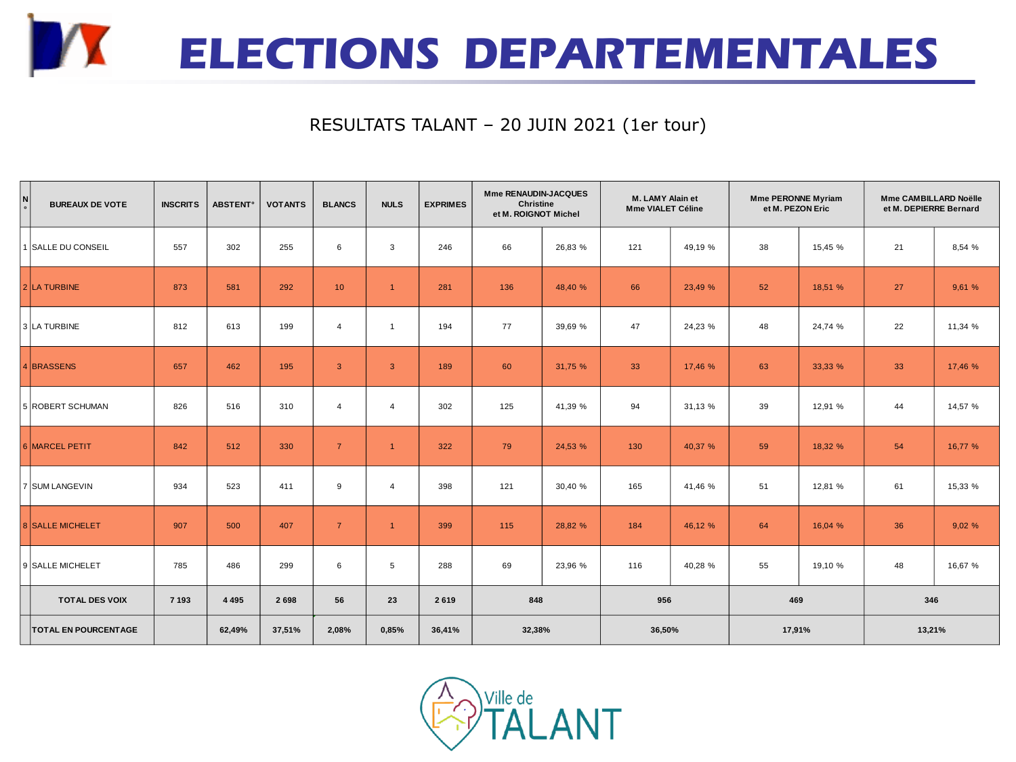

## RESULTATS TALANT – 20 JUIN 2021 (1er tour)

| N<br>$\circ$ | <b>BUREAUX DE VOTE</b>      | <b>INSCRITS</b> | <b>ABSTENT<sup>®</sup></b> | <b>VOTANTS</b> | <b>BLANCS</b>   | <b>NULS</b>    | <b>EXPRIMES</b> | Mme RENAUDIN-JACQUES<br><b>Christine</b><br>et M. ROIGNOT Michel |         | M. LAMY Alain et<br><b>Mme VIALET Céline</b> |         | <b>Mme PERONNE Myriam</b><br>et M. PEZON Eric |         | <b>Mme CAMBILLARD Noëlle</b><br>et M. DEPIERRE Bernard |         |  |
|--------------|-----------------------------|-----------------|----------------------------|----------------|-----------------|----------------|-----------------|------------------------------------------------------------------|---------|----------------------------------------------|---------|-----------------------------------------------|---------|--------------------------------------------------------|---------|--|
|              | 1 SALLE DU CONSEIL          | 557             | 302                        | 255            | 6               | 3              | 246             | 66                                                               | 26,83 % | 121                                          | 49,19 % | 38                                            | 15,45 % | 21                                                     | 8,54 %  |  |
|              | 2 LA TURBINE                | 873             | 581                        | 292            | 10 <sup>°</sup> | $\overline{1}$ | 281             | 136                                                              | 48,40 % | 66                                           | 23,49 % | 52                                            | 18,51 % | 27                                                     | 9,61 %  |  |
|              | 3 LA TURBINE                | 812             | 613                        | 199            | $\overline{4}$  | $\overline{1}$ | 194             | 77                                                               | 39,69 % | 47                                           | 24,23 % | 48                                            | 24,74 % | 22                                                     | 11,34 % |  |
|              | 4 BRASSENS                  | 657             | 462                        | 195            | $\mathbf{3}$    | $\overline{3}$ | 189             | 60                                                               | 31,75 % | 33                                           | 17,46 % | 63                                            | 33,33 % | 33                                                     | 17,46 % |  |
|              | 5 ROBERT SCHUMAN            | 826             | 516                        | 310            | $\overline{4}$  | $\overline{4}$ | 302             | 125                                                              | 41,39 % | 94                                           | 31,13 % | 39                                            | 12,91 % | 44                                                     | 14,57 % |  |
|              | 6 MARCEL PETIT              | 842             | 512                        | 330            | $\overline{7}$  | $\overline{1}$ | 322             | 79                                                               | 24,53 % | 130                                          | 40,37 % | 59                                            | 18,32 % | 54                                                     | 16.77 % |  |
|              | 7 SUM LANGEVIN              | 934             | 523                        | 411            | 9               | $\overline{4}$ | 398             | 121                                                              | 30,40 % | 165                                          | 41,46 % | 51                                            | 12,81 % | 61                                                     | 15,33 % |  |
|              | <b>8 SALLE MICHELET</b>     | 907             | 500                        | 407            | $\overline{7}$  | $\overline{1}$ | 399             | 115                                                              | 28,82 % | 184                                          | 46,12 % | 64                                            | 16,04 % | 36                                                     | 9,02%   |  |
|              | 9 SALLE MICHELET            | 785             | 486                        | 299            | 6               | $\,$ 5 $\,$    | 288             | 69                                                               | 23,96 % | 116                                          | 40,28 % | 55                                            | 19,10 % | 48                                                     | 16,67 % |  |
|              | <b>TOTAL DES VOIX</b>       | 7 1 9 3         | 4 4 9 5                    | 2698           | 56              | 23             | 2619            | 848                                                              |         | 956                                          |         | 469                                           |         | 346                                                    |         |  |
|              | <b>TOTAL EN POURCENTAGE</b> |                 | 62,49%                     | 37,51%         | 2,08%           | 0,85%          | 36,41%          | 32,38%                                                           |         | 36,50%                                       |         | 17,91%                                        |         | 13,21%                                                 |         |  |